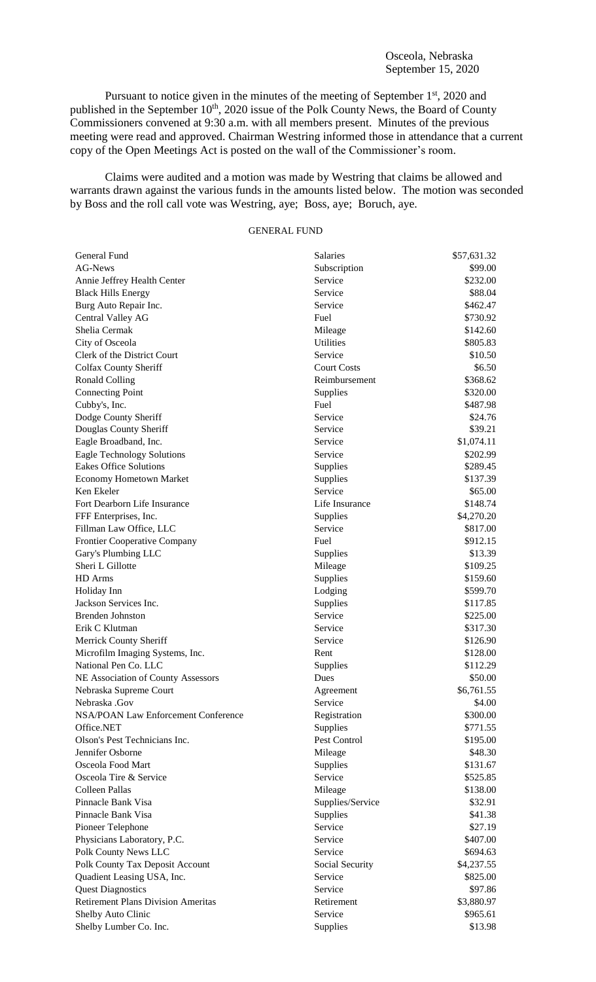Pursuant to notice given in the minutes of the meeting of September 1<sup>st</sup>, 2020 and published in the September 10<sup>th</sup>, 2020 issue of the Polk County News, the Board of County Commissioners convened at 9:30 a.m. with all members present. Minutes of the previous meeting were read and approved. Chairman Westring informed those in attendance that a current copy of the Open Meetings Act is posted on the wall of the Commissioner's room.

Claims were audited and a motion was made by Westring that claims be allowed and warrants drawn against the various funds in the amounts listed below. The motion was seconded by Boss and the roll call vote was Westring, aye; Boss, aye; Boruch, aye.

## GENERAL FUND

| General Fund                                             | Salaries             | \$57,631.32 |
|----------------------------------------------------------|----------------------|-------------|
| <b>AG-News</b>                                           | Subscription         | \$99.00     |
| Annie Jeffrey Health Center                              | Service              | \$232.00    |
| <b>Black Hills Energy</b>                                | Service              | \$88.04     |
| Burg Auto Repair Inc.                                    | Service              | \$462.47    |
| Central Valley AG                                        | Fuel                 | \$730.92    |
| Shelia Cermak                                            | Mileage              | \$142.60    |
| City of Osceola                                          | <b>Utilities</b>     | \$805.83    |
| Clerk of the District Court                              | Service              | \$10.50     |
| <b>Colfax County Sheriff</b>                             | <b>Court Costs</b>   | \$6.50      |
| <b>Ronald Colling</b>                                    | Reimbursement        | \$368.62    |
| <b>Connecting Point</b>                                  | Supplies             | \$320.00    |
| Cubby's, Inc.                                            | Fuel                 | \$487.98    |
| Dodge County Sheriff                                     | Service              | \$24.76     |
| Douglas County Sheriff                                   | Service              | \$39.21     |
| Eagle Broadband, Inc.                                    | Service              | \$1,074.11  |
| <b>Eagle Technology Solutions</b>                        | Service              | \$202.99    |
| <b>Eakes Office Solutions</b>                            | Supplies             | \$289.45    |
| Economy Hometown Market                                  | Supplies             | \$137.39    |
| Ken Ekeler                                               | Service              | \$65.00     |
| Fort Dearborn Life Insurance                             | Life Insurance       | \$148.74    |
| FFF Enterprises, Inc.                                    | Supplies             | \$4,270.20  |
| Fillman Law Office, LLC                                  | Service              | \$817.00    |
| Frontier Cooperative Company                             | Fuel                 | \$912.15    |
| Gary's Plumbing LLC                                      | Supplies             | \$13.39     |
| Sheri L Gillotte                                         | Mileage              | \$109.25    |
| HD Arms                                                  | Supplies             | \$159.60    |
| Holiday Inn                                              | Lodging              | \$599.70    |
| Jackson Services Inc.                                    | Supplies             | \$117.85    |
| <b>Brenden Johnston</b>                                  | Service              | \$225.00    |
| Erik C Klutman                                           | Service              | \$317.30    |
| Merrick County Sheriff                                   | Service              | \$126.90    |
| Microfilm Imaging Systems, Inc.                          | Rent                 | \$128.00    |
| National Pen Co. LLC                                     | Supplies             | \$112.29    |
| NE Association of County Assessors                       | Dues                 | \$50.00     |
|                                                          |                      | \$6,761.55  |
| Nebraska Supreme Court<br>Nebraska .Gov                  | Agreement<br>Service | \$4.00      |
|                                                          |                      |             |
| <b>NSA/POAN Law Enforcement Conference</b><br>Office.NET | Registration         | \$300.00    |
|                                                          | Supplies             | \$771.55    |
| Olson's Pest Technicians Inc.                            | Pest Control         | \$195.00    |
| Jennifer Osborne                                         | Mileage              | \$48.30     |
| Osceola Food Mart                                        | Supplies             | \$131.67    |
| Osceola Tire & Service                                   | Service              | \$525.85    |
| <b>Colleen Pallas</b>                                    | Mileage              | \$138.00    |
| Pinnacle Bank Visa                                       | Supplies/Service     | \$32.91     |
| Pinnacle Bank Visa                                       | Supplies             | \$41.38     |
| Pioneer Telephone                                        | Service              | \$27.19     |
| Physicians Laboratory, P.C.                              | Service              | \$407.00    |
| Polk County News LLC                                     | Service              | \$694.63    |
| Polk County Tax Deposit Account                          | Social Security      | \$4,237.55  |
| Quadient Leasing USA, Inc.                               | Service              | \$825.00    |
| <b>Quest Diagnostics</b>                                 | Service              | \$97.86     |
| <b>Retirement Plans Division Ameritas</b>                | Retirement           | \$3,880.97  |
| Shelby Auto Clinic                                       | Service              | \$965.61    |
| Shelby Lumber Co. Inc.                                   | Supplies             | \$13.98     |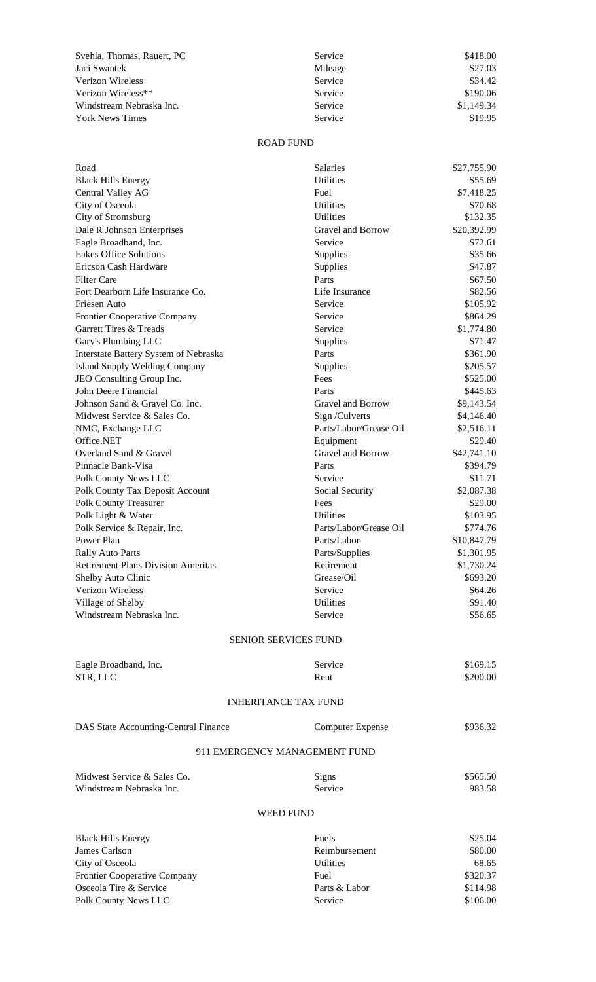| Svehla, Thomas, Rauert, PC | Service | \$418.00   |
|----------------------------|---------|------------|
| Jaci Swantek               | Mileage | \$27.03    |
| Verizon Wireless           | Service | \$34.42    |
| Verizon Wireless**         | Service | \$190.06   |
| Windstream Nebraska Inc.   | Service | \$1,149.34 |
| <b>York News Times</b>     | Service | \$19.95    |

## ROAD FUND

| Road                                                          | <b>Salaries</b>                         | \$27,755.90              |  |  |
|---------------------------------------------------------------|-----------------------------------------|--------------------------|--|--|
| <b>Black Hills Energy</b>                                     | <b>Utilities</b>                        | \$55.69                  |  |  |
| Central Valley AG                                             | Fuel                                    | \$7,418.25               |  |  |
| City of Osceola                                               | <b>Utilities</b>                        | \$70.68                  |  |  |
| City of Stromsburg                                            | <b>Utilities</b>                        | \$132.35                 |  |  |
| Dale R Johnson Enterprises                                    | Gravel and Borrow                       | \$20,392.99              |  |  |
| Eagle Broadband, Inc.                                         | Service                                 | \$72.61                  |  |  |
| <b>Eakes Office Solutions</b>                                 | Supplies                                | \$35.66                  |  |  |
| Ericson Cash Hardware                                         | Supplies                                | \$47.87                  |  |  |
| <b>Filter Care</b>                                            | Parts                                   | \$67.50                  |  |  |
| Fort Dearborn Life Insurance Co.                              | Life Insurance                          | \$82.56                  |  |  |
| Friesen Auto                                                  | Service                                 | \$105.92                 |  |  |
| Frontier Cooperative Company                                  | Service                                 | \$864.29                 |  |  |
| Garrett Tires & Treads                                        | Service                                 | \$1,774.80               |  |  |
| Gary's Plumbing LLC                                           | Supplies                                | \$71.47                  |  |  |
| Interstate Battery System of Nebraska                         | Parts                                   | \$361.90                 |  |  |
| <b>Island Supply Welding Company</b>                          | Supplies                                | \$205.57                 |  |  |
| JEO Consulting Group Inc.                                     | Fees                                    | \$525.00                 |  |  |
| John Deere Financial                                          | Parts                                   | \$445.63                 |  |  |
| Johnson Sand & Gravel Co. Inc.<br>Midwest Service & Sales Co. | Gravel and Borrow                       | \$9,143.54               |  |  |
|                                                               | Sign/Culverts<br>Parts/Labor/Grease Oil | \$4,146.40<br>\$2,516.11 |  |  |
| NMC, Exchange LLC<br>Office.NET                               | Equipment                               | \$29.40                  |  |  |
| Overland Sand & Gravel                                        | Gravel and Borrow                       | \$42,741.10              |  |  |
| Pinnacle Bank-Visa                                            | Parts                                   | \$394.79                 |  |  |
| Polk County News LLC                                          | Service                                 | \$11.71                  |  |  |
| Polk County Tax Deposit Account                               | Social Security                         | \$2,087.38               |  |  |
| <b>Polk County Treasurer</b>                                  | Fees                                    | \$29.00                  |  |  |
| Polk Light & Water                                            | <b>Utilities</b>                        | \$103.95                 |  |  |
| Polk Service & Repair, Inc.                                   | Parts/Labor/Grease Oil                  | \$774.76                 |  |  |
| Power Plan                                                    | Parts/Labor                             | \$10,847.79              |  |  |
| <b>Rally Auto Parts</b>                                       | Parts/Supplies                          | \$1,301.95               |  |  |
| <b>Retirement Plans Division Ameritas</b>                     | Retirement                              | \$1,730.24               |  |  |
| Shelby Auto Clinic                                            | Grease/Oil                              | \$693.20                 |  |  |
| <b>Verizon Wireless</b>                                       | Service                                 | \$64.26                  |  |  |
| Village of Shelby                                             | Utilities                               | \$91.40                  |  |  |
| Windstream Nebraska Inc.                                      | Service                                 | \$56.65                  |  |  |
| <b>SENIOR SERVICES FUND</b>                                   |                                         |                          |  |  |
|                                                               |                                         |                          |  |  |
| Eagle Broadband, Inc.                                         | Service                                 | \$169.15                 |  |  |
| STR, LLC                                                      | Rent                                    | \$200.00                 |  |  |
| <b>INHERITANCE TAX FUND</b>                                   |                                         |                          |  |  |
| DAS State Accounting-Central Finance                          | <b>Computer Expense</b>                 | \$936.32                 |  |  |
| 911 EMERGENCY MANAGEMENT FUND                                 |                                         |                          |  |  |
|                                                               |                                         |                          |  |  |
| Midwest Service & Sales Co.                                   | Signs                                   | \$565.50                 |  |  |
| Windstream Nebraska Inc.                                      | Service                                 | 983.58                   |  |  |
| <b>WEED FUND</b>                                              |                                         |                          |  |  |
| <b>Black Hills Energy</b>                                     | Fuels                                   | \$25.04                  |  |  |
| James Carlson                                                 | Reimbursement                           | \$80.00                  |  |  |
| City of Osceola                                               | <b>Utilities</b>                        | 68.65                    |  |  |
| Frontier Cooperative Company                                  | Fuel                                    | \$320.37                 |  |  |
| Osceola Tire & Service                                        | Parts & Labor                           | \$114.98                 |  |  |
| Polk County News LLC                                          | Service                                 | \$106.00                 |  |  |